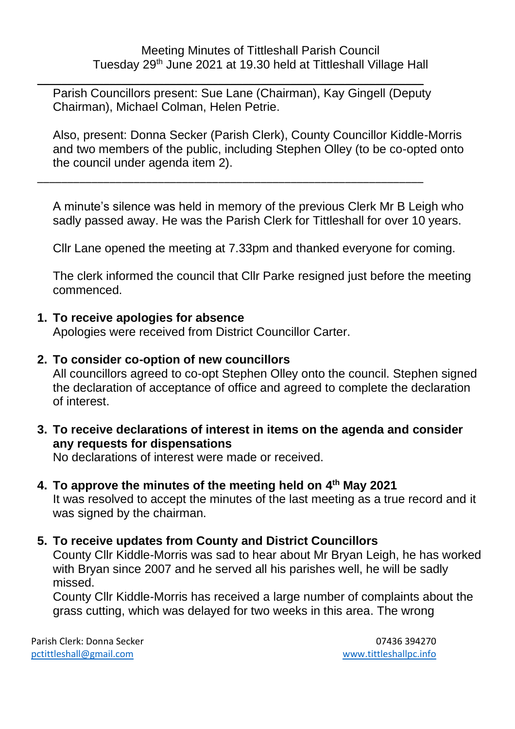\_\_\_\_\_\_\_\_\_\_\_\_\_\_\_\_\_\_\_\_\_\_\_\_\_\_\_\_\_\_\_\_\_\_\_\_\_\_\_\_\_\_\_\_\_\_\_\_\_\_\_\_\_\_\_\_\_\_\_\_\_\_\_\_ Parish Councillors present: Sue Lane (Chairman), Kay Gingell (Deputy Chairman), Michael Colman, Helen Petrie.

\_\_\_\_\_\_\_\_\_\_\_\_\_\_\_\_\_\_\_\_\_\_\_\_\_\_\_\_\_\_\_\_\_\_\_\_\_\_\_\_\_\_\_\_\_\_\_\_\_\_\_\_\_\_\_\_\_\_\_\_\_\_\_\_

Also, present: Donna Secker (Parish Clerk), County Councillor Kiddle-Morris and two members of the public, including Stephen Olley (to be co-opted onto the council under agenda item 2).

A minute's silence was held in memory of the previous Clerk Mr B Leigh who sadly passed away. He was the Parish Clerk for Tittleshall for over 10 years.

Cllr Lane opened the meeting at 7.33pm and thanked everyone for coming.

The clerk informed the council that Cllr Parke resigned just before the meeting commenced.

#### **1. To receive apologies for absence**

Apologies were received from District Councillor Carter.

#### **2. To consider co-option of new councillors**

All councillors agreed to co-opt Stephen Olley onto the council. Stephen signed the declaration of acceptance of office and agreed to complete the declaration of interest.

**3. To receive declarations of interest in items on the agenda and consider any requests for dispensations**

No declarations of interest were made or received.

**4. To approve the minutes of the meeting held on 4 th May 2021**

It was resolved to accept the minutes of the last meeting as a true record and it was signed by the chairman.

#### **5. To receive updates from County and District Councillors**

County Cllr Kiddle-Morris was sad to hear about Mr Bryan Leigh, he has worked with Bryan since 2007 and he served all his parishes well, he will be sadly missed.

County Cllr Kiddle-Morris has received a large number of complaints about the grass cutting, which was delayed for two weeks in this area. The wrong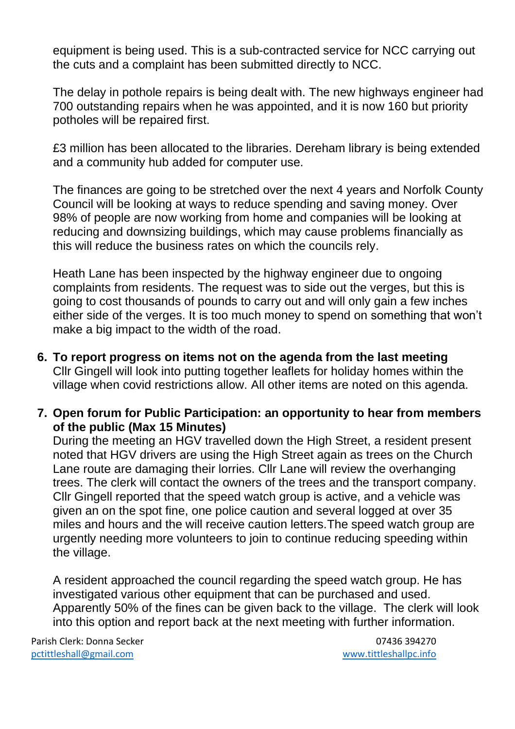equipment is being used. This is a sub-contracted service for NCC carrying out the cuts and a complaint has been submitted directly to NCC.

The delay in pothole repairs is being dealt with. The new highways engineer had 700 outstanding repairs when he was appointed, and it is now 160 but priority potholes will be repaired first.

£3 million has been allocated to the libraries. Dereham library is being extended and a community hub added for computer use.

The finances are going to be stretched over the next 4 years and Norfolk County Council will be looking at ways to reduce spending and saving money. Over 98% of people are now working from home and companies will be looking at reducing and downsizing buildings, which may cause problems financially as this will reduce the business rates on which the councils rely.

Heath Lane has been inspected by the highway engineer due to ongoing complaints from residents. The request was to side out the verges, but this is going to cost thousands of pounds to carry out and will only gain a few inches either side of the verges. It is too much money to spend on something that won't make a big impact to the width of the road.

- **6. To report progress on items not on the agenda from the last meeting** Cllr Gingell will look into putting together leaflets for holiday homes within the village when covid restrictions allow. All other items are noted on this agenda.
- **7. Open forum for Public Participation: an opportunity to hear from members of the public (Max 15 Minutes)**

During the meeting an HGV travelled down the High Street, a resident present noted that HGV drivers are using the High Street again as trees on the Church Lane route are damaging their lorries. Cllr Lane will review the overhanging trees. The clerk will contact the owners of the trees and the transport company. Cllr Gingell reported that the speed watch group is active, and a vehicle was given an on the spot fine, one police caution and several logged at over 35 miles and hours and the will receive caution letters.The speed watch group are urgently needing more volunteers to join to continue reducing speeding within the village.

A resident approached the council regarding the speed watch group. He has investigated various other equipment that can be purchased and used. Apparently 50% of the fines can be given back to the village. The clerk will look into this option and report back at the next meeting with further information.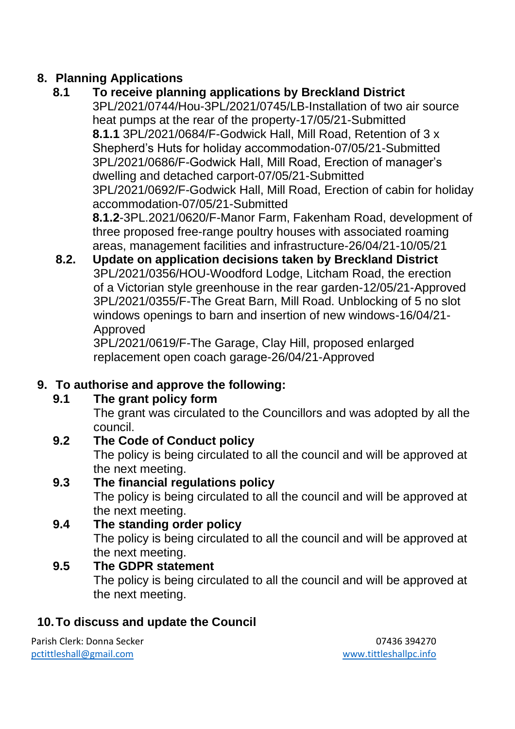# **8. Planning Applications**

# **8.1 To receive planning applications by Breckland District**

- 3PL/2021/0744/Hou-3PL/2021/0745/LB-Installation of two air source heat pumps at the rear of the property-17/05/21-Submitted **8.1.1** 3PL/2021/0684/F-Godwick Hall, Mill Road, Retention of 3 x Shepherd's Huts for holiday accommodation-07/05/21-Submitted 3PL/2021/0686/F-Godwick Hall, Mill Road, Erection of manager's dwelling and detached carport-07/05/21-Submitted 3PL/2021/0692/F-Godwick Hall, Mill Road, Erection of cabin for holiday accommodation-07/05/21-Submitted **8.1.2**-3PL.2021/0620/F-Manor Farm, Fakenham Road, development of three proposed free-range poultry houses with associated roaming
- areas, management facilities and infrastructure-26/04/21-10/05/21 **8.2. Update on application decisions taken by Breckland District** 3PL/2021/0356/HOU-Woodford Lodge, Litcham Road, the erection of a Victorian style greenhouse in the rear garden-12/05/21-Approved 3PL/2021/0355/F-The Great Barn, Mill Road. Unblocking of 5 no slot windows openings to barn and insertion of new windows-16/04/21- Approved

3PL/2021/0619/F-The Garage, Clay Hill, proposed enlarged replacement open coach garage-26/04/21-Approved

# **9. To authorise and approve the following:**

# **9.1 The grant policy form**

The grant was circulated to the Councillors and was adopted by all the council.

# **9.2 The Code of Conduct policy**

The policy is being circulated to all the council and will be approved at the next meeting.

# **9.3 The financial regulations policy**

The policy is being circulated to all the council and will be approved at the next meeting.

## **9.4 The standing order policy** The policy is being circulated to all the council and will be approved at the next meeting.

# **9.5 The GDPR statement**

The policy is being circulated to all the council and will be approved at the next meeting.

# **10.To discuss and update the Council**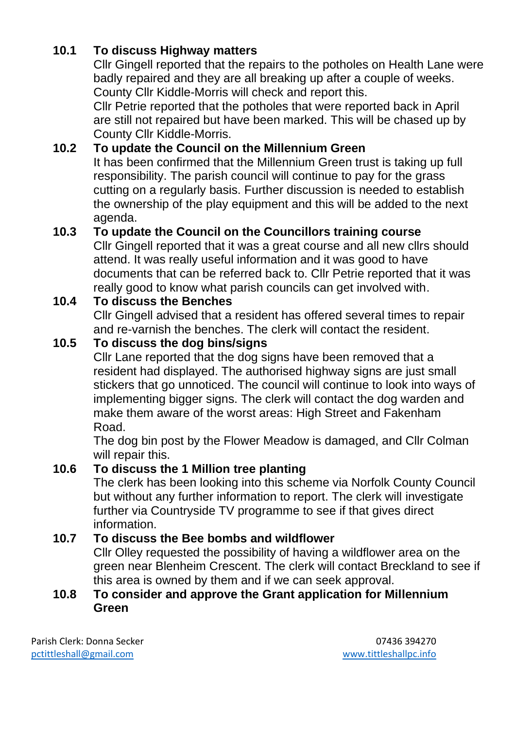# **10.1 To discuss Highway matters**

Cllr Gingell reported that the repairs to the potholes on Health Lane were badly repaired and they are all breaking up after a couple of weeks. County Cllr Kiddle-Morris will check and report this.

Cllr Petrie reported that the potholes that were reported back in April are still not repaired but have been marked. This will be chased up by County Cllr Kiddle-Morris.

## **10.2 To update the Council on the Millennium Green**

It has been confirmed that the Millennium Green trust is taking up full responsibility. The parish council will continue to pay for the grass cutting on a regularly basis. Further discussion is needed to establish the ownership of the play equipment and this will be added to the next agenda.

## **10.3 To update the Council on the Councillors training course**

Cllr Gingell reported that it was a great course and all new cllrs should attend. It was really useful information and it was good to have documents that can be referred back to. Cllr Petrie reported that it was really good to know what parish councils can get involved with.

## **10.4 To discuss the Benches**

Cllr Gingell advised that a resident has offered several times to repair and re-varnish the benches. The clerk will contact the resident.

### **10.5 To discuss the dog bins/signs**

Cllr Lane reported that the dog signs have been removed that a resident had displayed. The authorised highway signs are just small stickers that go unnoticed. The council will continue to look into ways of implementing bigger signs. The clerk will contact the dog warden and make them aware of the worst areas: High Street and Fakenham Road.

The dog bin post by the Flower Meadow is damaged, and Cllr Colman will repair this.

#### **10.6 To discuss the 1 Million tree planting**

The clerk has been looking into this scheme via Norfolk County Council but without any further information to report. The clerk will investigate further via Countryside TV programme to see if that gives direct information.

## **10.7 To discuss the Bee bombs and wildflower**

Cllr Olley requested the possibility of having a wildflower area on the green near Blenheim Crescent. The clerk will contact Breckland to see if this area is owned by them and if we can seek approval.

#### **10.8 To consider and approve the Grant application for Millennium Green**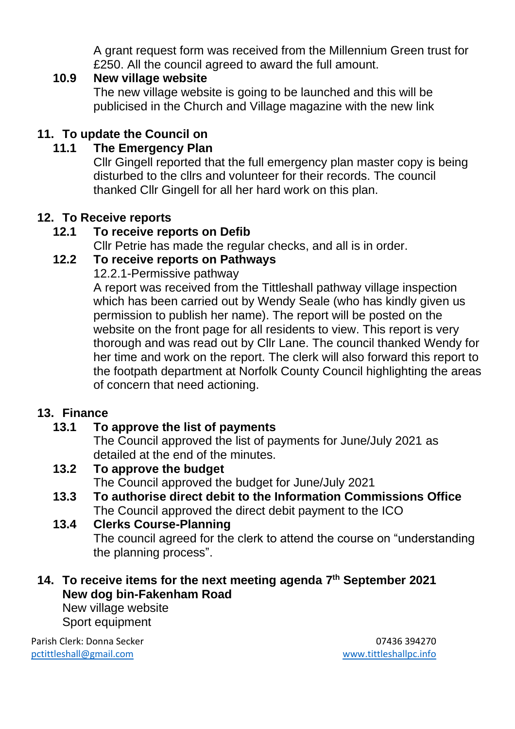A grant request form was received from the Millennium Green trust for £250. All the council agreed to award the full amount.

### **10.9 New village website**

The new village website is going to be launched and this will be publicised in the Church and Village magazine with the new link

# **11. To update the Council on**

## **11.1 The Emergency Plan**

Cllr Gingell reported that the full emergency plan master copy is being disturbed to the cllrs and volunteer for their records. The council thanked Cllr Gingell for all her hard work on this plan.

## **12. To Receive reports**

## **12.1 To receive reports on Defib**

Cllr Petrie has made the regular checks, and all is in order.

### **12.2 To receive reports on Pathways**

12.2.1-Permissive pathway

A report was received from the Tittleshall pathway village inspection which has been carried out by Wendy Seale (who has kindly given us permission to publish her name). The report will be posted on the website on the front page for all residents to view. This report is very thorough and was read out by Cllr Lane. The council thanked Wendy for her time and work on the report. The clerk will also forward this report to the footpath department at Norfolk County Council highlighting the areas of concern that need actioning.

## **13. Finance**

# **13.1 To approve the list of payments**

The Council approved the list of payments for June/July 2021 as detailed at the end of the minutes.

#### **13.2 To approve the budget**

The Council approved the budget for June/July 2021

**13.3 To authorise direct debit to the Information Commissions Office** The Council approved the direct debit payment to the ICO

## **13.4 Clerks Course-Planning**

The council agreed for the clerk to attend the course on "understanding the planning process".

**14. To receive items for the next meeting agenda 7 th September 2021 New dog bin-Fakenham Road**

New village website Sport equipment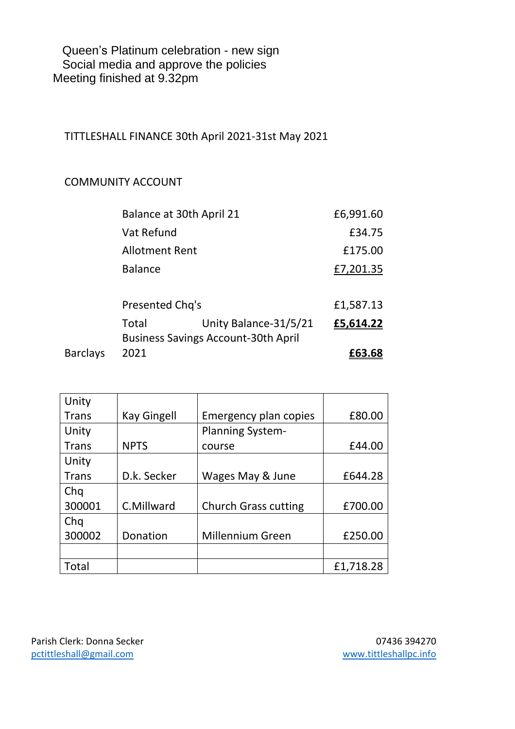Queen's Platinum celebration - new sign Social media and approve the policies Meeting finished at 9.32pm

TITTLESHALL FINANCE 30th April 2021-31st May 2021

#### COMMUNITY ACCOUNT

| <b>Barclays</b> | 2021                                       |                       | £63.68    |
|-----------------|--------------------------------------------|-----------------------|-----------|
|                 | <b>Business Savings Account-30th April</b> |                       |           |
|                 | Total                                      | Unity Balance-31/5/21 | £5,614.22 |
|                 | Presented Chq's                            |                       | £1,587.13 |
|                 |                                            |                       |           |
|                 | <b>Balance</b>                             |                       | £7,201.35 |
|                 | <b>Allotment Rent</b>                      |                       | £175.00   |
|                 | Vat Refund                                 |                       | £34.75    |
|                 | Balance at 30th April 21                   |                       | £6,991.60 |

| Unity        |                    |                              |           |
|--------------|--------------------|------------------------------|-----------|
| <b>Trans</b> | <b>Kay Gingell</b> | <b>Emergency plan copies</b> | £80.00    |
| Unity        |                    | <b>Planning System-</b>      |           |
| <b>Trans</b> | <b>NPTS</b>        | course                       | £44.00    |
| Unity        |                    |                              |           |
| <b>Trans</b> | D.k. Secker        | Wages May & June             | £644.28   |
| Chq          |                    |                              |           |
| 300001       | C.Millward         | <b>Church Grass cutting</b>  | £700.00   |
| Chq          |                    |                              |           |
| 300002       | Donation           | <b>Millennium Green</b>      | £250.00   |
|              |                    |                              |           |
| Total        |                    |                              | £1,718.28 |